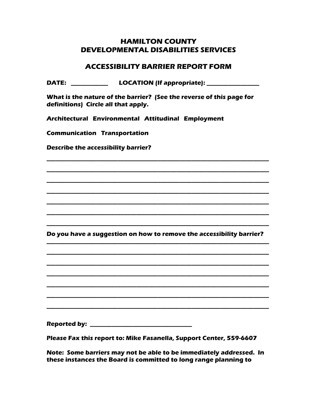## **HAMILTON COUNTY DEVELOPMENTAL DISABILITIES SERVICES**

## **ACCESSIBILITY BARRIER REPORT FORM**

**DATE: \_\_\_\_\_\_\_\_\_\_\_\_ LOCATION (If appropriate): \_\_\_\_\_\_\_\_\_\_\_\_\_\_\_\_\_**

**What is the nature of the barrier? (See the reverse of this page for definitions) Circle all that apply.**

**Architectural Environmental Attitudinal Employment** 

**Communication Transportation**

**Describe the accessibility barrier?** 

**Do you have a suggestion on how to remove the accessibility barrier? \_\_\_\_\_\_\_\_\_\_\_\_\_\_\_\_\_\_\_\_\_\_\_\_\_\_\_\_\_\_\_\_\_\_\_\_\_\_\_\_\_\_\_\_\_\_\_\_\_\_\_\_\_\_\_\_\_\_\_\_\_\_\_\_\_\_\_\_\_\_\_\_**

**\_\_\_\_\_\_\_\_\_\_\_\_\_\_\_\_\_\_\_\_\_\_\_\_\_\_\_\_\_\_\_\_\_\_\_\_\_\_\_\_\_\_\_\_\_\_\_\_\_\_\_\_\_\_\_\_\_\_\_\_\_\_\_\_\_\_\_\_\_\_\_\_**

**\_\_\_\_\_\_\_\_\_\_\_\_\_\_\_\_\_\_\_\_\_\_\_\_\_\_\_\_\_\_\_\_\_\_\_\_\_\_\_\_\_\_\_\_\_\_\_\_\_\_\_\_\_\_\_\_\_\_\_\_\_\_\_\_\_\_\_\_\_\_\_\_**

**\_\_\_\_\_\_\_\_\_\_\_\_\_\_\_\_\_\_\_\_\_\_\_\_\_\_\_\_\_\_\_\_\_\_\_\_\_\_\_\_\_\_\_\_\_\_\_\_\_\_\_\_\_\_\_\_\_\_\_\_\_\_\_\_\_\_\_\_\_\_\_\_**

**\_\_\_\_\_\_\_\_\_\_\_\_\_\_\_\_\_\_\_\_\_\_\_\_\_\_\_\_\_\_\_\_\_\_\_\_\_\_\_\_\_\_\_\_\_\_\_\_\_\_\_\_\_\_\_\_\_\_\_\_\_\_\_\_\_\_\_\_\_\_\_\_**

**\_\_\_\_\_\_\_\_\_\_\_\_\_\_\_\_\_\_\_\_\_\_\_\_\_\_\_\_\_\_\_\_\_\_\_\_\_\_\_\_\_\_\_\_\_\_\_\_\_\_\_\_\_\_\_\_\_\_\_\_\_\_\_\_\_\_\_\_\_\_\_\_**

**\_\_\_\_\_\_\_\_\_\_\_\_\_\_\_\_\_\_\_\_\_\_\_\_\_\_\_\_\_\_\_\_\_\_\_\_\_\_\_\_\_\_\_\_\_\_\_\_\_\_\_\_\_\_\_\_\_\_\_\_\_\_\_\_\_\_\_\_\_\_\_\_**

**\_\_\_\_\_\_\_\_\_\_\_\_\_\_\_\_\_\_\_\_\_\_\_\_\_\_\_\_\_\_\_\_\_\_\_\_\_\_\_\_\_\_\_\_\_\_\_\_\_\_\_\_\_\_\_\_\_\_\_\_\_\_\_\_\_\_\_\_\_\_\_\_**

**\_\_\_\_\_\_\_\_\_\_\_\_\_\_\_\_\_\_\_\_\_\_\_\_\_\_\_\_\_\_\_\_\_\_\_\_\_\_\_\_\_\_\_\_\_\_\_\_\_\_\_\_\_\_\_\_\_\_\_\_\_\_\_\_\_\_\_\_\_\_\_\_**

**\_\_\_\_\_\_\_\_\_\_\_\_\_\_\_\_\_\_\_\_\_\_\_\_\_\_\_\_\_\_\_\_\_\_\_\_\_\_\_\_\_\_\_\_\_\_\_\_\_\_\_\_\_\_\_\_\_\_\_\_\_\_\_\_\_\_\_\_\_\_\_\_**

**\_\_\_\_\_\_\_\_\_\_\_\_\_\_\_\_\_\_\_\_\_\_\_\_\_\_\_\_\_\_\_\_\_\_\_\_\_\_\_\_\_\_\_\_\_\_\_\_\_\_\_\_\_\_\_\_\_\_\_\_\_\_\_\_\_\_\_\_\_\_\_\_**

**\_\_\_\_\_\_\_\_\_\_\_\_\_\_\_\_\_\_\_\_\_\_\_\_\_\_\_\_\_\_\_\_\_\_\_\_\_\_\_\_\_\_\_\_\_\_\_\_\_\_\_\_\_\_\_\_\_\_\_\_\_\_\_\_\_\_\_\_\_\_\_\_**

**\_\_\_\_\_\_\_\_\_\_\_\_\_\_\_\_\_\_\_\_\_\_\_\_\_\_\_\_\_\_\_\_\_\_\_\_\_\_\_\_\_\_\_\_\_\_\_\_\_\_\_\_\_\_\_\_\_\_\_\_\_\_\_\_\_\_\_\_\_\_\_\_**

**\_\_\_\_\_\_\_\_\_\_\_\_\_\_\_\_\_\_\_\_\_\_\_\_\_\_\_\_\_\_\_\_\_\_\_\_\_\_\_\_\_\_\_\_\_\_\_\_\_\_\_\_\_\_\_\_\_\_\_\_\_\_\_\_\_\_\_\_\_\_\_\_**

**Reported by: \_\_\_\_\_\_\_\_\_\_\_\_\_\_\_\_\_\_\_\_\_\_\_\_\_\_\_\_\_\_\_\_\_**

**Please Fax this report to: Mike Fasanella, Support Center, 559-6607**

**Note: Some barriers may not be able to be immediately addressed. In these instances the Board is committed to long range planning to**